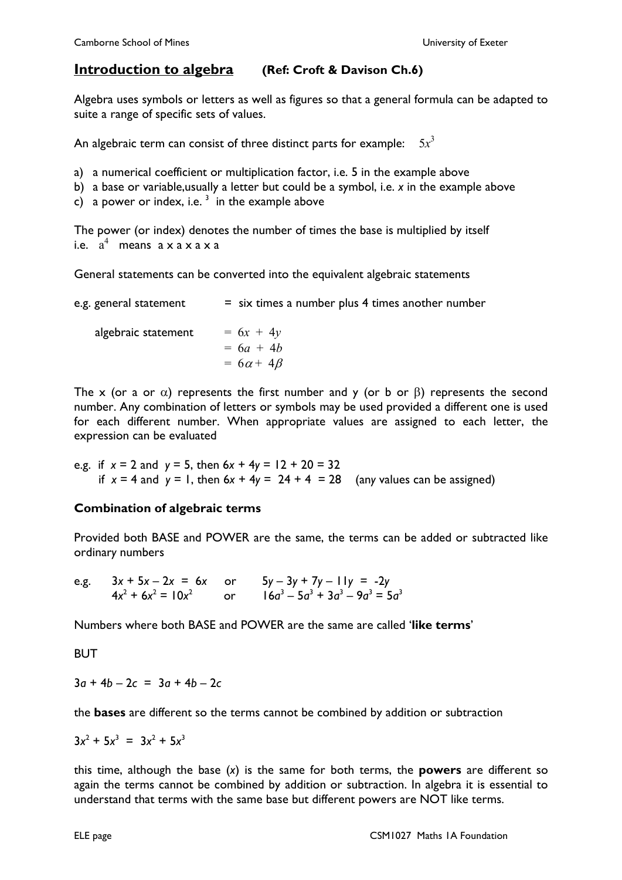## **Introduction to algebra (Ref: Croft & Davison Ch.6)**

Algebra uses symbols or letters as well as figures so that a general formula can be adapted to suite a range of specific sets of values.

An algebraic term can consist of three distinct parts for example:  $5x^3$ 

a) a numerical coefficient or multiplication factor, i.e. 5 in the example above

b) a base or variable,usually a letter but could be a symbol, i.e. *x* in the example above

c) a power or index, i.e.  $3\,$  in the example above

The power (or index) denotes the number of times the base is multiplied by itself i.e.  $a^4$  means  $a \times a \times a \times a$ 

General statements can be converted into the equivalent algebraic statements

| e.g. general statement | $=$ six times a number plus 4 times another number |
|------------------------|----------------------------------------------------|
| algebraic statement    | $= 6x + 4y$<br>$= 6a + 4b$<br>$= 6\alpha + 4\beta$ |

The x (or a or  $\alpha$ ) represents the first number and y (or b or  $\beta$ ) represents the second number. Any combination of letters or symbols may be used provided a different one is used for each different number. When appropriate values are assigned to each letter, the expression can be evaluated

e.g. if 
$$
x = 2
$$
 and  $y = 5$ , then  $6x + 4y = 12 + 20 = 32$   
if  $x = 4$  and  $y = 1$ , then  $6x + 4y = 24 + 4 = 28$  (any values can be assigned)

## **Combination of algebraic terms**

Provided both BASE and POWER are the same, the terms can be added or subtracted like ordinar*y* numbers

e.g. 
$$
3x + 5x - 2x = 6x
$$
 or  $5y - 3y + 7y - 11y = -2y$   
 $4x^2 + 6x^2 = 10x^2$  or  $16a^3 - 5a^3 + 3a^3 - 9a^3 = 5a^3$ 

Numbers where both BASE and POWER are the same are called '**like terms**'

**BUT** 

3*a* + 4*b* – 2*c* = 3*a* + 4*b* – 2*c*

the **bases** are different so the terms cannot be combined by addition or subtraction

$$
3x^2 + 5x^3 = 3x^2 + 5x^3
$$

this time, although the base (*x*) is the same for both terms, the **powers** are different so again the terms cannot be combined by addition or subtraction. In algebra it is essential to understand that terms with the same base but different powers are NOT like terms.